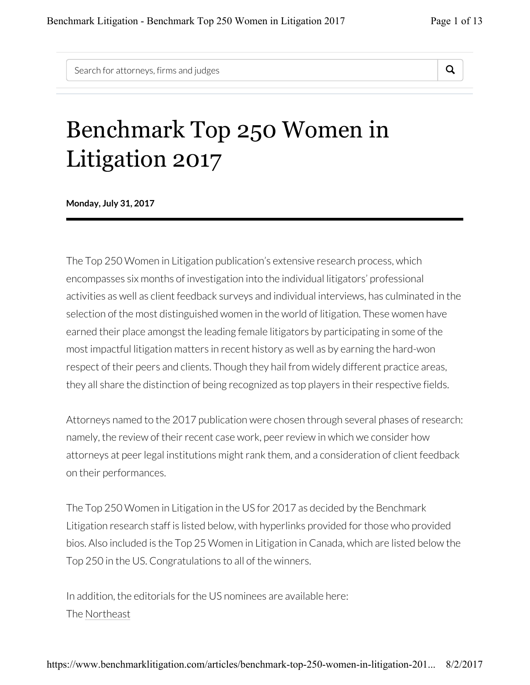Search for attorneys, firms and judges  $\Box$ 



## Benchmark Top 250 Women in Litigation 2017

**Monday, July 31, 2017**

The Top 250 Women in Litigation publication's extensive research process, which encompasses six months of investigation into the individual litigators' professional activities as well as client feedback surveys and individual interviews, has culminated in the selection of the most distinguished women in the world of litigation. These women have earned their place amongst the leading female litigators by participating in some of the most impactful litigation matters in recent history as well as by earning the hard-won respect of their peers and clients. Though they hail from widely different practice areas, they all share the distinction of being recognized as top players in their respective fields.

Attorneys named to the 2017 publication were chosen through several phases of research: namely, the review of their recent case work, peer review in which we consider how attorneys at peer legal institutions might rank them, and a consideration of client feedback on their performances.

The Top 250 Women in Litigation in the US for 2017 as decided by the Benchmark Litigation research staff is listed below, with hyperlinks provided for those who provided bios. Also included is the Top 25 Women in Litigation in Canada, which are listed below the Top 250 in the US. Congratulations to all of the winners.

In addition, the editorials for the US nominees are available here: The Northeast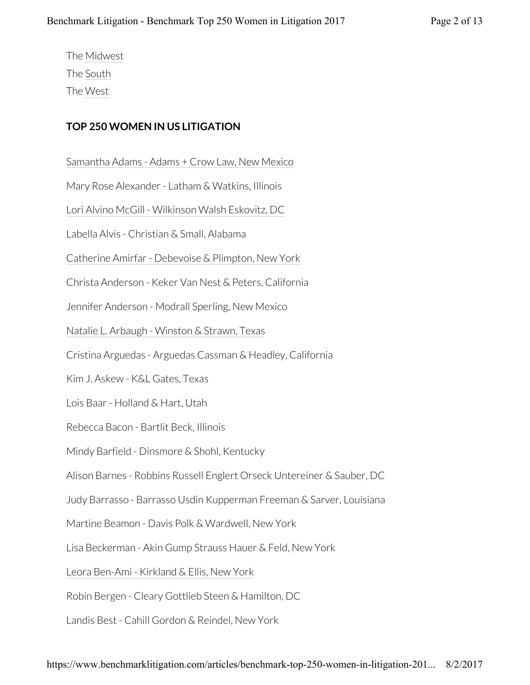The Midwest The South The West

## **TOP 250 WOMEN IN US LITIGATION**

Samantha Adams - Adams + Crow Law, New Mexico

Mary Rose Alexander - Latham & Watkins, Illinois

Lori Alvino McGill - Wilkinson Walsh Eskovitz, DC

Labella Alvis - Christian & Small, Alabama

Catherine Amirfar - Debevoise & Plimpton, New York

Christa Anderson - Keker Van Nest & Peters, California

Jennifer Anderson - Modrall Sperling, New Mexico

Natalie L. Arbaugh - Winston & Strawn, Texas

Cristina Arguedas - Arguedas Cassman & Headley, California

Kim J. Askew - K&L Gates, Texas

Lois Baar - Holland & Hart, Utah

Rebecca Bacon - Bartlit Beck, Illinois

Mindy Barfield - Dinsmore & Shohl, Kentucky

Alison Barnes - Robbins Russell Englert Orseck Untereiner & Sauber, DC

Judy Barrasso - Barrasso Usdin Kupperman Freeman & Sarver, Louisiana

Martine Beamon - Davis Polk & Wardwell, New York

Lisa Beckerman - Akin Gump Strauss Hauer & Feld, New York

Leora Ben-Ami - Kirkland & Ellis, New York

Robin Bergen - Cleary Gottlieb Steen & Hamilton, DC

Landis Best - Cahill Gordon & Reindel, New York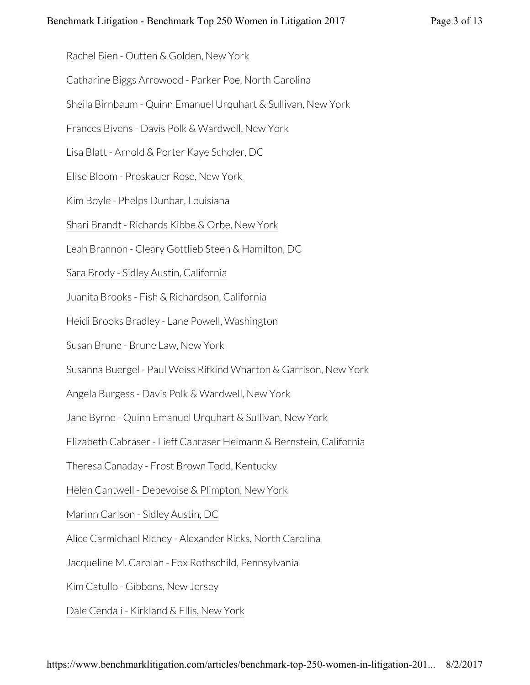Rachel Bien - Outten & Golden, New York

Catharine Biggs Arrowood - Parker Poe, North Carolina

Sheila Birnbaum - Quinn Emanuel Urquhart & Sullivan, New York

Frances Bivens - Davis Polk & Wardwell, New York

Lisa Blatt - Arnold & Porter Kaye Scholer, DC

Elise Bloom - Proskauer Rose, New York

Kim Boyle - Phelps Dunbar, Louisiana

Shari Brandt - Richards Kibbe & Orbe, New York

Leah Brannon - Cleary Gottlieb Steen & Hamilton, DC

Sara Brody - Sidley Austin, California

Juanita Brooks - Fish & Richardson, California

Heidi Brooks Bradley - Lane Powell, Washington

Susan Brune - Brune Law, New York

Susanna Buergel - Paul Weiss Rifkind Wharton & Garrison, New York

Angela Burgess - Davis Polk & Wardwell, New York

Jane Byrne - Quinn Emanuel Urquhart & Sullivan, New York

Elizabeth Cabraser - Lieff Cabraser Heimann & Bernstein, California

Theresa Canaday - Frost Brown Todd, Kentucky

Helen Cantwell - Debevoise & Plimpton, New York

Marinn Carlson - Sidley Austin, DC

Alice Carmichael Richey - Alexander Ricks, North Carolina

Jacqueline M. Carolan - Fox Rothschild, Pennsylvania

Kim Catullo - Gibbons, New Jersey

Dale Cendali - Kirkland & Ellis, New York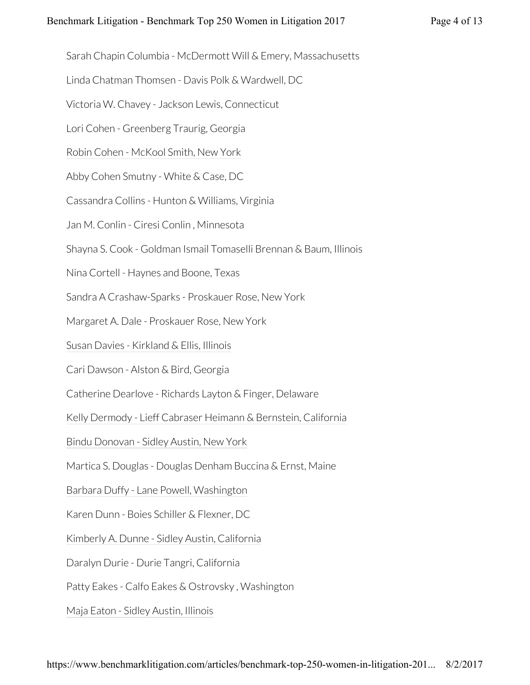Sarah Chapin Columbia - McDermott Will & Emery, Massachusetts

Linda Chatman Thomsen - Davis Polk & Wardwell, DC

Victoria W. Chavey - Jackson Lewis, Connecticut

Lori Cohen - Greenberg Traurig, Georgia

Robin Cohen - McKool Smith, New York

Abby Cohen Smutny - White & Case, DC

Cassandra Collins - Hunton & Williams, Virginia

Jan M. Conlin - Ciresi Conlin , Minnesota

Shayna S. Cook - Goldman Ismail Tomaselli Brennan & Baum, Illinois

Nina Cortell - Haynes and Boone, Texas

Sandra A Crashaw-Sparks - Proskauer Rose, New York

Margaret A. Dale - Proskauer Rose, New York

Susan Davies - Kirkland & Ellis, Illinois

Cari Dawson - Alston & Bird, Georgia

Catherine Dearlove - Richards Layton & Finger, Delaware

Kelly Dermody - Lieff Cabraser Heimann & Bernstein, California

Bindu Donovan - Sidley Austin, New York

Martica S. Douglas - Douglas Denham Buccina & Ernst, Maine

Barbara Duffy - Lane Powell, Washington

Karen Dunn - Boies Schiller & Flexner, DC

Kimberly A. Dunne - Sidley Austin, California

Daralyn Durie - Durie Tangri, California

Patty Eakes - Calfo Eakes & Ostrovsky , Washington

Maja Eaton - Sidley Austin, Illinois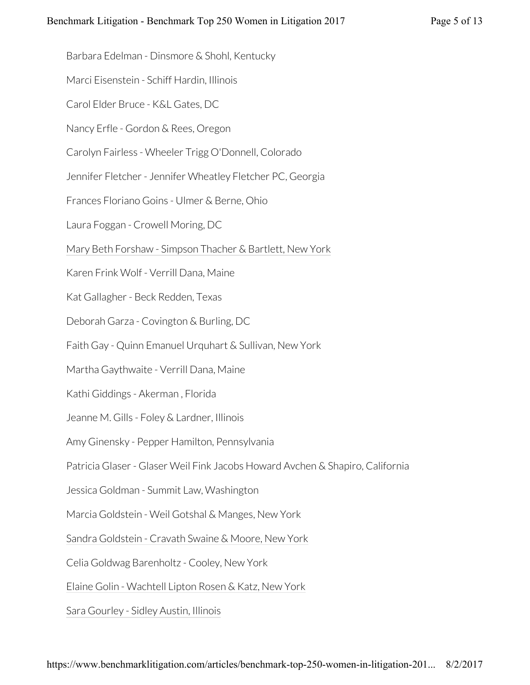Barbara Edelman - Dinsmore & Shohl, Kentucky

Marci Eisenstein - Schiff Hardin, Illinois

Carol Elder Bruce - K&L Gates, DC

Nancy Erfle - Gordon & Rees, Oregon

Carolyn Fairless - Wheeler Trigg O'Donnell, Colorado

Jennifer Fletcher - Jennifer Wheatley Fletcher PC, Georgia

Frances Floriano Goins - Ulmer & Berne, Ohio

Laura Foggan - Crowell Moring, DC

Mary Beth Forshaw - Simpson Thacher & Bartlett, New York

Karen Frink Wolf - Verrill Dana, Maine

Kat Gallagher - Beck Redden, Texas

Deborah Garza - Covington & Burling, DC

Faith Gay - Quinn Emanuel Urquhart & Sullivan, New York

Martha Gaythwaite - Verrill Dana, Maine

Kathi Giddings - Akerman , Florida

Jeanne M. Gills - Foley & Lardner, Illinois

Amy Ginensky - Pepper Hamilton, Pennsylvania

Patricia Glaser - Glaser Weil Fink Jacobs Howard Avchen & Shapiro, California

Jessica Goldman - Summit Law, Washington

Marcia Goldstein - Weil Gotshal & Manges, New York

Sandra Goldstein - Cravath Swaine & Moore, New York

Celia Goldwag Barenholtz - Cooley, New York

Elaine Golin - Wachtell Lipton Rosen & Katz, New York

Sara Gourley - Sidley Austin, Illinois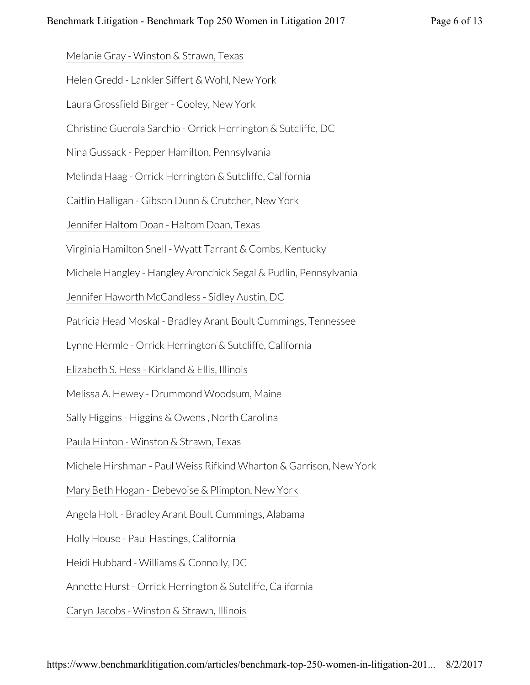Melanie Gray - Winston & Strawn, Texas

Helen Gredd - Lankler Siffert & Wohl, New York

Laura Grossfield Birger - Cooley, New York

Christine Guerola Sarchio - Orrick Herrington & Sutcliffe, DC

Nina Gussack - Pepper Hamilton, Pennsylvania

Melinda Haag - Orrick Herrington & Sutcliffe, California

Caitlin Halligan - Gibson Dunn & Crutcher, New York

Jennifer Haltom Doan - Haltom Doan, Texas

Virginia Hamilton Snell - Wyatt Tarrant & Combs, Kentucky

Michele Hangley - Hangley Aronchick Segal & Pudlin, Pennsylvania

Jennifer Haworth McCandless - Sidley Austin, DC

Patricia Head Moskal - Bradley Arant Boult Cummings, Tennessee

Lynne Hermle - Orrick Herrington & Sutcliffe, California

Elizabeth S. Hess - Kirkland & Ellis, Illinois

Melissa A. Hewey - Drummond Woodsum, Maine

Sally Higgins - Higgins & Owens , North Carolina

Paula Hinton - Winston & Strawn, Texas

Michele Hirshman - Paul Weiss Rifkind Wharton & Garrison, New York

Mary Beth Hogan - Debevoise & Plimpton, New York

Angela Holt - Bradley Arant Boult Cummings, Alabama

Holly House - Paul Hastings, California

Heidi Hubbard - Williams & Connolly, DC

Annette Hurst - Orrick Herrington & Sutcliffe, California

Caryn Jacobs - Winston & Strawn, Illinois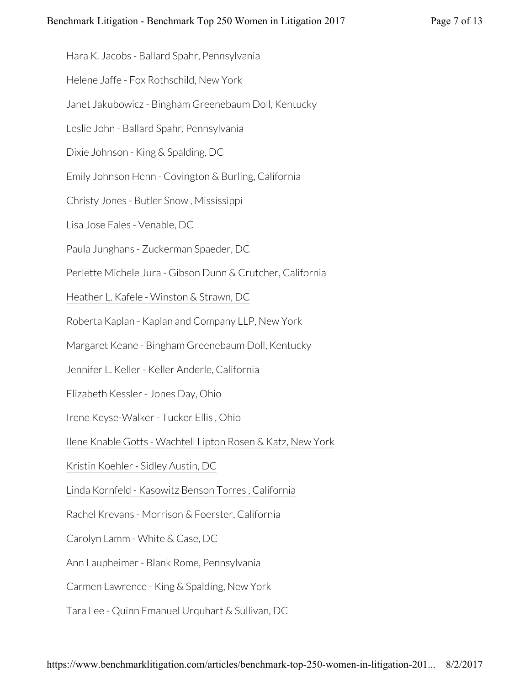Hara K. Jacobs - Ballard Spahr, Pennsylvania

Helene Jaffe - Fox Rothschild, New York

Janet Jakubowicz - Bingham Greenebaum Doll, Kentucky

Leslie John - Ballard Spahr, Pennsylvania

Dixie Johnson - King & Spalding, DC

Emily Johnson Henn - Covington & Burling, California

Christy Jones - Butler Snow , Mississippi

Lisa Jose Fales - Venable, DC

Paula Junghans - Zuckerman Spaeder, DC

Perlette Michele Jura - Gibson Dunn & Crutcher, California

Heather L. Kafele - Winston & Strawn, DC

Roberta Kaplan - Kaplan and Company LLP, New York

Margaret Keane - Bingham Greenebaum Doll, Kentucky

Jennifer L. Keller - Keller Anderle, California

Elizabeth Kessler - Jones Day, Ohio

Irene Keyse-Walker - Tucker Ellis , Ohio

Ilene Knable Gotts - Wachtell Lipton Rosen & Katz, New York

Kristin Koehler - Sidley Austin, DC

Linda Kornfeld - Kasowitz Benson Torres , California

Rachel Krevans - Morrison & Foerster, California

Carolyn Lamm - White & Case, DC

Ann Laupheimer - Blank Rome, Pennsylvania

Carmen Lawrence - King & Spalding, New York

Tara Lee - Quinn Emanuel Urquhart & Sullivan, DC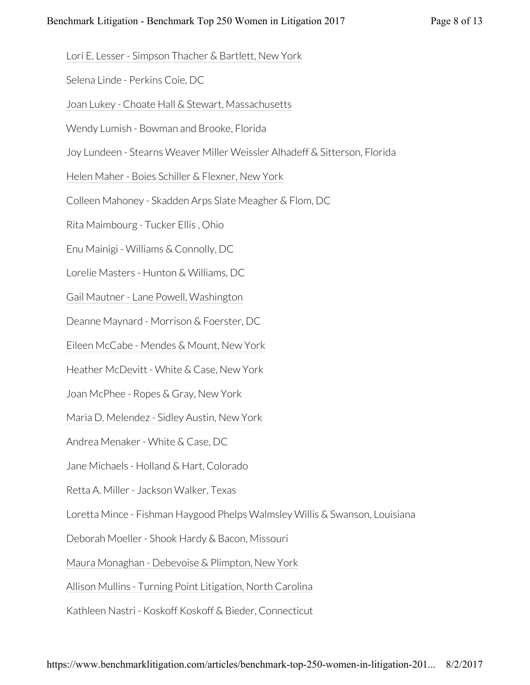Lori E. Lesser - Simpson Thacher & Bartlett, New York

Selena Linde - Perkins Coie, DC

Joan Lukey - Choate Hall & Stewart, Massachusetts

Wendy Lumish - Bowman and Brooke, Florida

Joy Lundeen - Stearns Weaver Miller Weissler Alhadeff & Sitterson, Florida

Helen Maher - Boies Schiller & Flexner, New York

Colleen Mahoney - Skadden Arps Slate Meagher & Flom, DC

Rita Maimbourg - Tucker Ellis , Ohio

Enu Mainigi - Williams & Connolly, DC

Lorelie Masters - Hunton & Williams, DC

Gail Mautner - Lane Powell, Washington

Deanne Maynard - Morrison & Foerster, DC

Eileen McCabe - Mendes & Mount, New York

Heather McDevitt - White & Case, New York

Joan McPhee - Ropes & Gray, New York

Maria D. Melendez - Sidley Austin, New York

Andrea Menaker - White & Case, DC

Jane Michaels - Holland & Hart, Colorado

Retta A. Miller - Jackson Walker, Texas

Loretta Mince - Fishman Haygood Phelps Walmsley Willis & Swanson, Louisiana

Deborah Moeller - Shook Hardy & Bacon, Missouri

Maura Monaghan - Debevoise & Plimpton, New York

Allison Mullins - Turning Point Litigation, North Carolina

Kathleen Nastri - Koskoff Koskoff & Bieder, Connecticut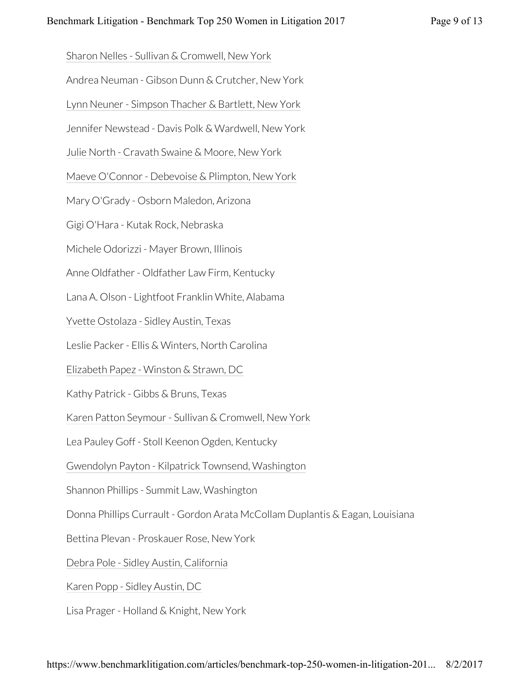Sharon Nelles - Sullivan & Cromwell, New York

Andrea Neuman - Gibson Dunn & Crutcher, New York

Lynn Neuner - Simpson Thacher & Bartlett, New York

Jennifer Newstead - Davis Polk & Wardwell, New York

Julie North - Cravath Swaine & Moore, New York

Maeve O'Connor - Debevoise & Plimpton, New York

Mary O'Grady - Osborn Maledon, Arizona

Gigi O'Hara - Kutak Rock, Nebraska

Michele Odorizzi - Mayer Brown, Illinois

Anne Oldfather - Oldfather Law Firm, Kentucky

Lana A. Olson - Lightfoot Franklin White, Alabama

Yvette Ostolaza - Sidley Austin, Texas

Leslie Packer - Ellis & Winters, North Carolina

Elizabeth Papez - Winston & Strawn, DC

Kathy Patrick - Gibbs & Bruns, Texas

Karen Patton Seymour - Sullivan & Cromwell, New York

Lea Pauley Goff - Stoll Keenon Ogden, Kentucky

Gwendolyn Payton - Kilpatrick Townsend, Washington

Shannon Phillips - Summit Law, Washington

Donna Phillips Currault - Gordon Arata McCollam Duplantis & Eagan, Louisiana

Bettina Plevan - Proskauer Rose, New York

Debra Pole - Sidley Austin, California

Karen Popp - Sidley Austin, DC

Lisa Prager - Holland & Knight, New York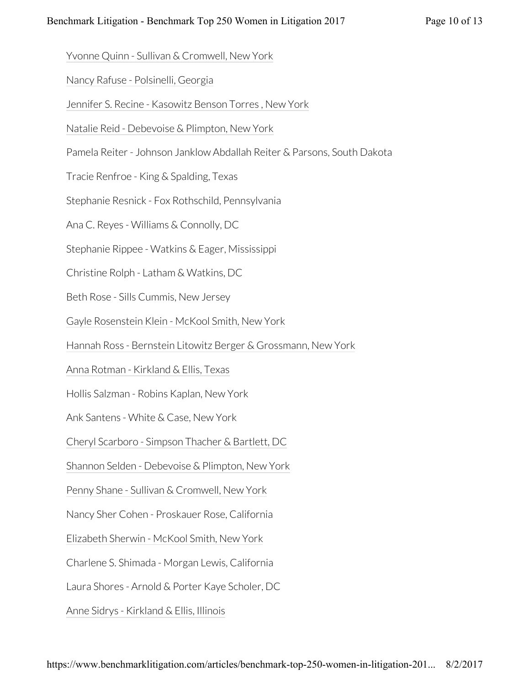Yvonne Quinn - Sullivan & Cromwell, New York

Nancy Rafuse - Polsinelli, Georgia

Jennifer S. Recine - Kasowitz Benson Torres , New York

Natalie Reid - Debevoise & Plimpton, New York

Pamela Reiter - Johnson Janklow Abdallah Reiter & Parsons, South Dakota

Tracie Renfroe - King & Spalding, Texas

Stephanie Resnick - Fox Rothschild, Pennsylvania

Ana C. Reyes - Williams & Connolly, DC

Stephanie Rippee - Watkins & Eager, Mississippi

Christine Rolph - Latham & Watkins, DC

Beth Rose - Sills Cummis, New Jersey

Gayle Rosenstein Klein - McKool Smith, New York

Hannah Ross - Bernstein Litowitz Berger & Grossmann, New York

Anna Rotman - Kirkland & Ellis, Texas

Hollis Salzman - Robins Kaplan, New York

Ank Santens - White & Case, New York

Cheryl Scarboro - Simpson Thacher & Bartlett, DC

Shannon Selden - Debevoise & Plimpton, New York

Penny Shane - Sullivan & Cromwell, New York

Nancy Sher Cohen - Proskauer Rose, California

Elizabeth Sherwin - McKool Smith, New York

Charlene S. Shimada - Morgan Lewis, California

Laura Shores - Arnold & Porter Kaye Scholer, DC

Anne Sidrys - Kirkland & Ellis, Illinois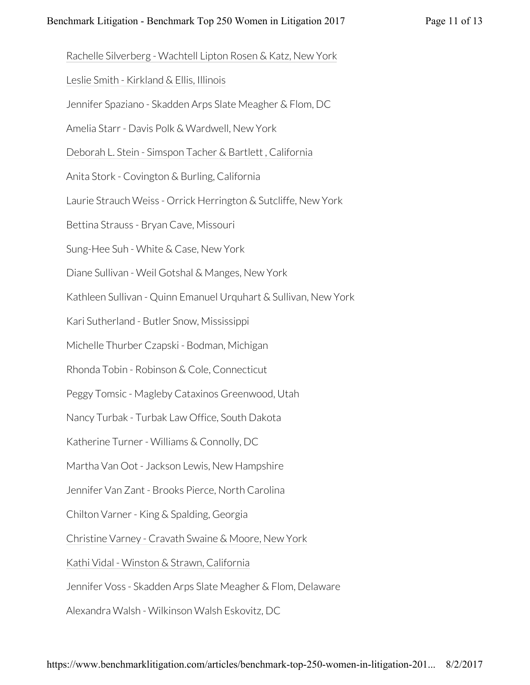Rachelle Silverberg - Wachtell Lipton Rosen & Katz, New York

Leslie Smith - Kirkland & Ellis, Illinois

Jennifer Spaziano - Skadden Arps Slate Meagher & Flom, DC

Amelia Starr - Davis Polk & Wardwell, New York

Deborah L. Stein - Simspon Tacher & Bartlett , California

Anita Stork - Covington & Burling, California

Laurie Strauch Weiss - Orrick Herrington & Sutcliffe, New York

Bettina Strauss - Bryan Cave, Missouri

Sung-Hee Suh - White & Case, New York

Diane Sullivan - Weil Gotshal & Manges, New York

Kathleen Sullivan - Quinn Emanuel Urquhart & Sullivan, New York

Kari Sutherland - Butler Snow, Mississippi

Michelle Thurber Czapski - Bodman, Michigan

Rhonda Tobin - Robinson & Cole, Connecticut

Peggy Tomsic - Magleby Cataxinos Greenwood, Utah

Nancy Turbak - Turbak Law Office, South Dakota

Katherine Turner - Williams & Connolly, DC

Martha Van Oot - Jackson Lewis, New Hampshire

Jennifer Van Zant - Brooks Pierce, North Carolina

Chilton Varner - King & Spalding, Georgia

Christine Varney - Cravath Swaine & Moore, New York

Kathi Vidal - Winston & Strawn, California

Jennifer Voss - Skadden Arps Slate Meagher & Flom, Delaware

Alexandra Walsh - Wilkinson Walsh Eskovitz, DC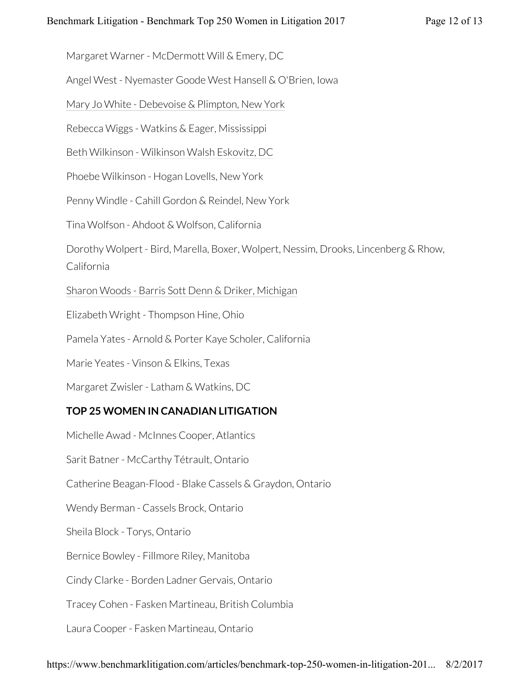Margaret Warner - McDermott Will & Emery, DC

Angel West - Nyemaster Goode West Hansell & O'Brien, Iowa

Mary Jo White - Debevoise & Plimpton, New York

Rebecca Wiggs - Watkins & Eager, Mississippi

Beth Wilkinson - Wilkinson Walsh Eskovitz, DC

Phoebe Wilkinson - Hogan Lovells, New York

Penny Windle - Cahill Gordon & Reindel, New York

Tina Wolfson - Ahdoot & Wolfson, California

Dorothy Wolpert - Bird, Marella, Boxer, Wolpert, Nessim, Drooks, Lincenberg & Rhow, California

Sharon Woods - Barris Sott Denn & Driker, Michigan

Elizabeth Wright - Thompson Hine, Ohio

Pamela Yates - Arnold & Porter Kaye Scholer, California

Marie Yeates - Vinson & Elkins, Texas

Margaret Zwisler - Latham & Watkins, DC

## **TOP 25 WOMEN IN CANADIAN LITIGATION**

Michelle Awad - McInnes Cooper, Atlantics Sarit Batner - McCarthy Tétrault, Ontario Catherine Beagan-Flood - Blake Cassels & Graydon, Ontario Wendy Berman - Cassels Brock, Ontario Sheila Block - Torys, Ontario Bernice Bowley - Fillmore Riley, Manitoba Cindy Clarke - Borden Ladner Gervais, Ontario Tracey Cohen - Fasken Martineau, British Columbia Laura Cooper - Fasken Martineau, Ontario